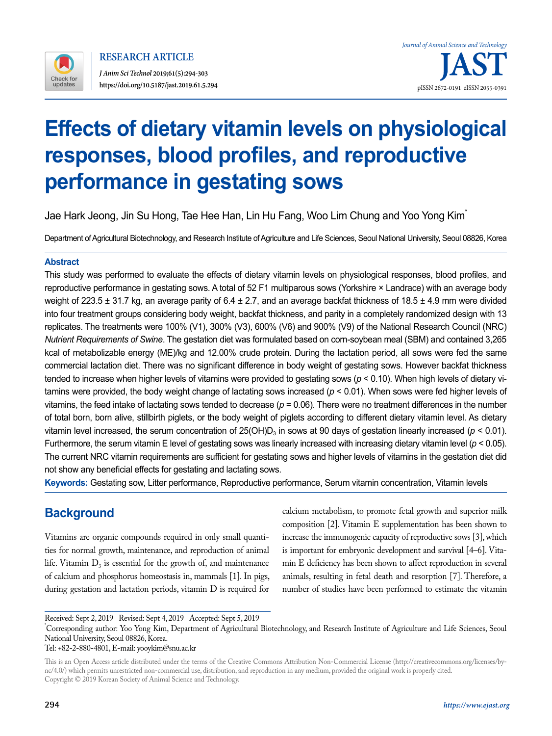

# **Effects of dietary vitamin levels on physiological responses, blood profiles, and reproductive performance in gestating sows**

Jae Hark Jeong, Jin Su Hong, Tae Hee Han, Lin Hu Fang, Woo Lim Chung and Yoo Yong Kim\*

Department of Agricultural Biotechnology, and Research Institute of Agriculture and Life Sciences, Seoul National University, Seoul 08826, Korea

### **Abstract**

This study was performed to evaluate the effects of dietary vitamin levels on physiological responses, blood profiles, and reproductive performance in gestating sows. A total of 52 F1 multiparous sows (Yorkshire × Landrace) with an average body weight of 223.5  $\pm$  31.7 kg, an average parity of 6.4  $\pm$  2.7, and an average backfat thickness of 18.5  $\pm$  4.9 mm were divided into four treatment groups considering body weight, backfat thickness, and parity in a completely randomized design with 13 replicates. The treatments were 100% (V1), 300% (V3), 600% (V6) and 900% (V9) of the National Research Council (NRC) *Nutrient Requirements of Swine*. The gestation diet was formulated based on corn-soybean meal (SBM) and contained 3,265 kcal of metabolizable energy (ME)/kg and 12.00% crude protein. During the lactation period, all sows were fed the same commercial lactation diet. There was no significant difference in body weight of gestating sows. However backfat thickness tended to increase when higher levels of vitamins were provided to gestating sows (*p* < 0.10). When high levels of dietary vitamins were provided, the body weight change of lactating sows increased (*p* < 0.01). When sows were fed higher levels of vitamins, the feed intake of lactating sows tended to decrease (*p* = 0.06). There were no treatment differences in the number of total born, born alive, stillbirth piglets, or the body weight of piglets according to different dietary vitamin level. As dietary vitamin level increased, the serum concentration of  $25(OH)D<sub>3</sub>$  in sows at 90 days of gestation linearly increased ( $p < 0.01$ ). Furthermore, the serum vitamin E level of gestating sows was linearly increased with increasing dietary vitamin level ( $p < 0.05$ ). The current NRC vitamin requirements are sufficient for gestating sows and higher levels of vitamins in the gestation diet did not show any beneficial effects for gestating and lactating sows.

**Keywords:** Gestating sow, Litter performance, Reproductive performance, Serum vitamin concentration, Vitamin levels

# **Background**

Vitamins are organic compounds required in only small quantities for normal growth, maintenance, and reproduction of animal life. Vitamin  $D_3$  is essential for the growth of, and maintenance of calcium and phosphorus homeostasis in, mammals [1]. In pigs, during gestation and lactation periods, vitamin D is required for calcium metabolism, to promote fetal growth and superior milk composition [2]. Vitamin E supplementation has been shown to increase the immunogenic capacity of reproductive sows [3], which is important for embryonic development and survival [4–6]. Vitamin E deficiency has been shown to affect reproduction in several animals, resulting in fetal death and resorption [7]. Therefore, a number of studies have been performed to estimate the vitamin

Received: Sept 2, 2019 Revised: Sept 4, 2019 Accepted: Sept 5, 2019

\* Corresponding author: Yoo Yong Kim, Department of Agricultural Biotechnology, and Research Institute of Agriculture and Life Sciences, Seoul National University, Seoul 08826, Korea.

#### Tel: +82-2-880-4801, E-mail: yooykim@snu.ac.kr

This is an Open Access article distributed under the terms of the Creative Commons Attribution Non-Commercial License ([http://creativecommons.org/licenses/by](http://creativecommons.org/licenses/by-nc/4.0/)[nc/4.0/\)](http://creativecommons.org/licenses/by-nc/4.0/) which permits unrestricted non-commercial use, distribution, and reproduction in any medium, provided the original work is properly cited. Copyright © 2019 Korean Society of Animal Science and Technology.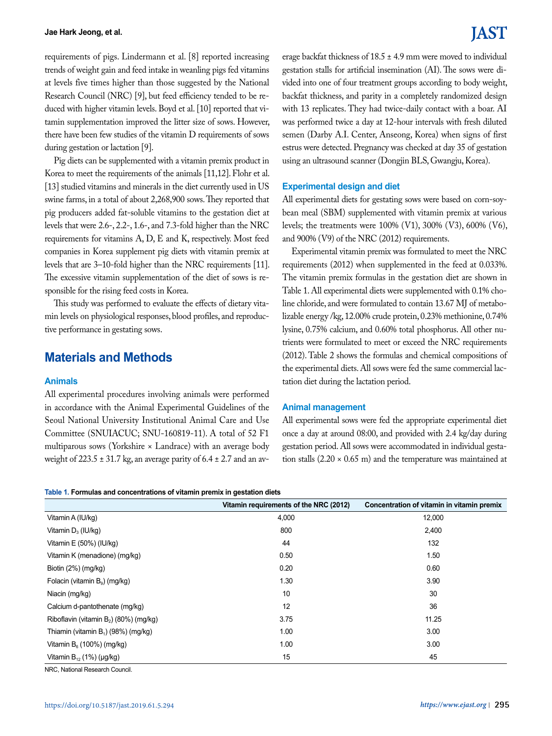requirements of pigs. Lindermann et al. [8] reported increasing trends of weight gain and feed intake in weanling pigs fed vitamins at levels five times higher than those suggested by the National Research Council (NRC) [9], but feed efficiency tended to be reduced with higher vitamin levels. Boyd et al. [10] reported that vitamin supplementation improved the litter size of sows. However, there have been few studies of the vitamin D requirements of sows during gestation or lactation [9].

Pig diets can be supplemented with a vitamin premix product in Korea to meet the requirements of the animals [11,12]. Flohr et al. [13] studied vitamins and minerals in the diet currently used in US swine farms, in a total of about 2,268,900 sows. They reported that pig producers added fat-soluble vitamins to the gestation diet at levels that were 2.6-, 2.2-, 1.6-, and 7.3-fold higher than the NRC requirements for vitamins A, D, E and K, respectively. Most feed companies in Korea supplement pig diets with vitamin premix at levels that are 3–10-fold higher than the NRC requirements [11]. The excessive vitamin supplementation of the diet of sows is responsible for the rising feed costs in Korea.

This study was performed to evaluate the effects of dietary vitamin levels on physiological responses, blood profiles, and reproductive performance in gestating sows.

# **Materials and Methods**

#### **Animals**

All experimental procedures involving animals were performed in accordance with the Animal Experimental Guidelines of the Seoul National University Institutional Animal Care and Use Committee (SNUIACUC; SNU-160819-11). A total of 52 F1 multiparous sows (Yorkshire × Landrace) with an average body weight of 223.5  $\pm$  31.7 kg, an average parity of 6.4  $\pm$  2.7 and an av-

**Table 1. Formulas and concentrations of vitamin premix in gestation diets**

erage backfat thickness of 18.5 ± 4.9 mm were moved to individual gestation stalls for artificial insemination (AI). The sows were divided into one of four treatment groups according to body weight, backfat thickness, and parity in a completely randomized design with 13 replicates. They had twice-daily contact with a boar. AI was performed twice a day at 12-hour intervals with fresh diluted semen (Darby A.I. Center, Anseong, Korea) when signs of first estrus were detected. Pregnancy was checked at day 35 of gestation using an ultrasound scanner (Dongjin BLS, Gwangju, Korea).

#### **Experimental design and diet**

All experimental diets for gestating sows were based on corn-soybean meal (SBM) supplemented with vitamin premix at various levels; the treatments were 100% (V1), 300% (V3), 600% (V6), and 900% (V9) of the NRC (2012) requirements.

Experimental vitamin premix was formulated to meet the NRC requirements (2012) when supplemented in the feed at 0.033%. The vitamin premix formulas in the gestation diet are shown in Table 1. All experimental diets were supplemented with 0.1% choline chloride, and were formulated to contain 13.67 MJ of metabolizable energy /kg, 12.00% crude protein, 0.23% methionine, 0.74% lysine, 0.75% calcium, and 0.60% total phosphorus. All other nutrients were formulated to meet or exceed the NRC requirements (2012). Table 2 shows the formulas and chemical compositions of the experimental diets. All sows were fed the same commercial lactation diet during the lactation period.

#### **Animal management**

All experimental sows were fed the appropriate experimental diet once a day at around 08:00, and provided with 2.4 kg/day during gestation period. All sows were accommodated in individual gestation stalls  $(2.20 \times 0.65 \text{ m})$  and the temperature was maintained at

|                                           | Vitamin requirements of the NRC (2012) | Concentration of vitamin in vitamin premix |
|-------------------------------------------|----------------------------------------|--------------------------------------------|
| Vitamin A (IU/kg)                         | 4,000                                  | 12,000                                     |
| Vitamin $D_3$ (IU/kg)                     | 800                                    | 2,400                                      |
| Vitamin E (50%) (IU/kg)                   | 44                                     | 132                                        |
| Vitamin K (menadione) (mg/kg)             | 0.50                                   | 1.50                                       |
| Biotin $(2%)$ (mg/kg)                     | 0.20                                   | 0.60                                       |
| Folacin (vitamin $B_q$ ) (mg/kg)          | 1.30                                   | 3.90                                       |
| Niacin (mg/kg)                            | 10                                     | 30                                         |
| Calcium d-pantothenate (mg/kg)            | 12                                     | 36                                         |
| Riboflavin (vitamin $B_2$ ) (80%) (mg/kg) | 3.75                                   | 11.25                                      |
| Thiamin (vitamin $B_1$ ) (98%) (mg/kg)    | 1.00                                   | 3.00                                       |
| Vitamin $B_6$ (100%) (mg/kg)              | 1.00                                   | 3.00                                       |
| Vitamin $B_{12}$ (1%) (µg/kg)             | 15                                     | 45                                         |

NRC, National Research Council.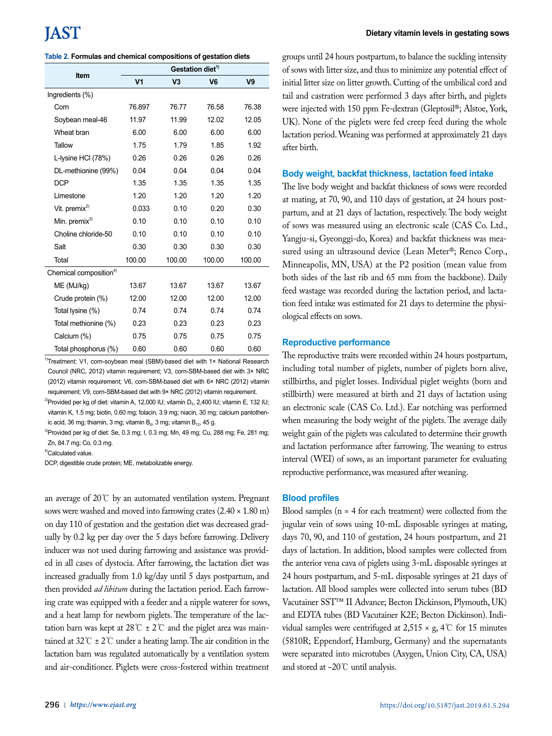|                                    | Gestation diet <sup>1)</sup> |                |                |                |  |  |  |  |
|------------------------------------|------------------------------|----------------|----------------|----------------|--|--|--|--|
| Item                               | V <sub>1</sub>               | V <sub>3</sub> | V <sub>6</sub> | V <sub>9</sub> |  |  |  |  |
| Ingredients (%)                    |                              |                |                |                |  |  |  |  |
| Corn                               | 76.897                       | 76.77          | 76.58          | 76.38          |  |  |  |  |
| Soybean meal-46                    | 11.97                        | 11.99          | 12.02          | 12.05          |  |  |  |  |
| Wheat bran                         | 6.00                         | 6.00           | 6.00           | 6.00           |  |  |  |  |
| <b>Tallow</b>                      | 1.75                         | 1.79           | 1.85           | 1.92           |  |  |  |  |
| L-lysine HCI (78%)                 | 0.26                         | 0.26           | 0.26           | 0.26           |  |  |  |  |
| DL-methionine (99%)                | 0.04                         | 0.04           | 0.04           | 0.04           |  |  |  |  |
| <b>DCP</b>                         | 1.35                         | 1.35           | 1.35           | 1.35           |  |  |  |  |
| Limestone                          | 1.20                         | 1.20           | 1.20           | 1.20           |  |  |  |  |
| Vit. premix $^{2)}$                | 0.033                        | 0.10           | 0.20           | 0.30           |  |  |  |  |
| Min. premix <sup>3)</sup>          | 0.10                         | 0.10           | 0.10           | 0.10           |  |  |  |  |
| Choline chloride-50                | 0.10                         | 0.10           | 0.10           | 0.10           |  |  |  |  |
| Salt                               | 0.30                         | 0.30           | 0.30           | 0.30           |  |  |  |  |
| Total                              | 100.00                       | 100.00         | 100.00         | 100.00         |  |  |  |  |
| Chemical composition <sup>4)</sup> |                              |                |                |                |  |  |  |  |
| ME (MJ/kg)                         | 13.67                        | 13.67          | 13.67          | 13.67          |  |  |  |  |
| Crude protein (%)                  | 12.00                        | 12.00          | 12.00          | 12.00          |  |  |  |  |
| Total lysine (%)                   | 0.74                         | 0.74           | 0.74           | 0.74           |  |  |  |  |
| Total methionine (%)               | 0.23                         | 0.23           | 0.23           | 0.23           |  |  |  |  |
| Calcium (%)                        | 0.75                         | 0.75           | 0.75           | 0.75           |  |  |  |  |
| Total phosphorus (%)               | 0.60                         | 0.60           | 0.60           | 0.60           |  |  |  |  |

<sup>1)</sup>Treatment: V1, corn-soybean meal (SBM)-based diet with 1× National Research Council (NRC, 2012) vitamin requirement; V3, corn-SBM-based diet with 3× NRC (2012) vitamin requirement; V6, corn-SBM-based diet with 6× NRC (2012) vitamin requirement; V9, corn-SBM-based diet with 9× NRC (2012) vitamin requirement.

<sup>2)</sup>Provided per kg of diet: vitamin A, 12,000 IU; vitamin D<sub>3</sub>, 2,400 IU; vitamin E, 132 IU; vitamin K, 1.5 mg; biotin, 0.60 mg; folacin, 3.9 mg; niacin, 30 mg; calcium pantothenic acid, 36 mg; thiamin, 3 mg; vitamin  $B_6$ , 3 mg; vitamin  $B_{12}$ , 45 g.

<sup>3)</sup>Provided per kg of diet: Se, 0.3 mg; I, 0.3 mg; Mn, 49 mg; Cu, 288 mg; Fe, 281 mg; Zn, 84.7 mg; Co, 0.3 mg.

4)Calculated value.

DCP, digestible crude protein; ME, metabolizable energy.

an average of 20℃ by an automated ventilation system. Pregnant sows were washed and moved into farrowing crates (2.40 × 1.80 m) on day 110 of gestation and the gestation diet was decreased gradually by 0.2 kg per day over the 5 days before farrowing. Delivery inducer was not used during farrowing and assistance was provided in all cases of dystocia. After farrowing, the lactation diet was increased gradually from 1.0 kg/day until 5 days postpartum, and then provided *ad libitum* during the lactation period. Each farrowing crate was equipped with a feeder and a nipple waterer for sows, and a heat lamp for newborn piglets. The temperature of the lactation barn was kept at  $28^{\circ}\text{C} \pm 2^{\circ}\text{C}$  and the piglet area was maintained at  $32^{\circ}\text{C} \pm 2^{\circ}\text{C}$  under a heating lamp. The air condition in the lactation barn was regulated automatically by a ventilation system and air-conditioner. Piglets were cross-fostered within treatment groups until 24 hours postpartum, to balance the suckling intensity of sows with litter size, and thus to minimize any potential effect of initial litter size on litter growth. Cutting of the umbilical cord and tail and castration were performed 3 days after birth, and piglets were injected with 150 ppm Fe-dextran (Gleptosil®; Alstoe, York, UK). None of the piglets were fed creep feed during the whole lactation period. Weaning was performed at approximately 21 days after birth.

#### **Body weight, backfat thickness, lactation feed intake**

The live body weight and backfat thickness of sows were recorded at mating, at 70, 90, and 110 days of gestation, at 24 hours postpartum, and at 21 days of lactation, respectively. The body weight of sows was measured using an electronic scale (CAS Co. Ltd., Yangju-si, Gyeonggi-do, Korea) and backfat thickness was measured using an ultrasound device (Lean Meter®; Renco Corp., Minneapolis, MN, USA) at the P2 position (mean value from both sides of the last rib and 65 mm from the backbone). Daily feed wastage was recorded during the lactation period, and lactation feed intake was estimated for 21 days to determine the physiological effects on sows.

#### **Reproductive performance**

The reproductive traits were recorded within 24 hours postpartum, including total number of piglets, number of piglets born alive, stillbirths, and piglet losses. Individual piglet weights (born and stillbirth) were measured at birth and 21 days of lactation using an electronic scale (CAS Co. Ltd.). Ear notching was performed when measuring the body weight of the piglets. The average daily weight gain of the piglets was calculated to determine their growth and lactation performance after farrowing. The weaning to estrus interval (WEI) of sows, as an important parameter for evaluating reproductive performance, was measured after weaning.

#### **Blood profiles**

Blood samples (n = 4 for each treatment) were collected from the jugular vein of sows using 10-mL disposable syringes at mating, days 70, 90, and 110 of gestation, 24 hours postpartum, and 21 days of lactation. In addition, blood samples were collected from the anterior vena cava of piglets using 3-mL disposable syringes at 24 hours postpartum, and 5-mL disposable syringes at 21 days of lactation. All blood samples were collected into serum tubes (BD Vacutainer SST™ II Advance; Becton Dickinson, Plymouth, UK) and EDTA tubes (BD Vacutainer K2E; Becton Dickinson). Individual samples were centrifuged at  $2,515 \times g$ ,  $4^{\circ}$  for 15 minutes (5810R; Eppendorf, Hamburg, Germany) and the supernatants were separated into microtubes (Axygen, Union City, CA, USA) and stored at −20℃ until analysis.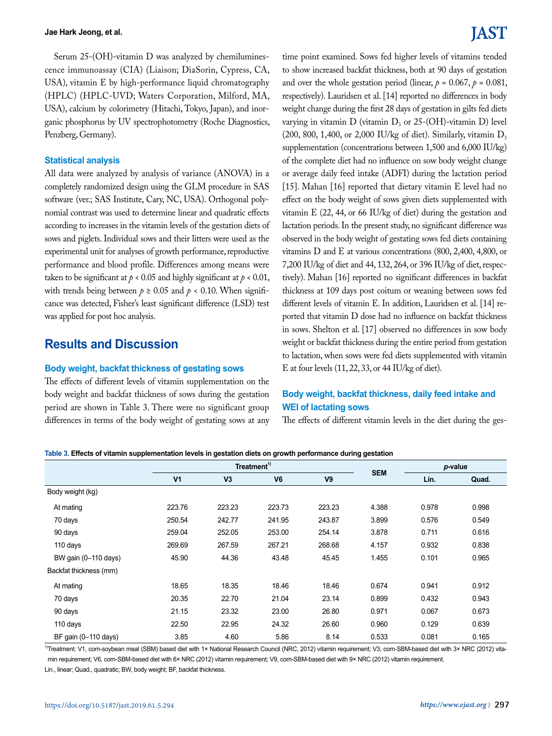Serum 25-(OH)-vitamin D was analyzed by chemiluminescence immunoassay (CIA) (Liaison; DiaSorin, Cypress, CA, USA), vitamin E by high-performance liquid chromatography (HPLC) (HPLC-UVD; Waters Corporation, Milford, MA, USA), calcium by colorimetry (Hitachi, Tokyo, Japan), and inorganic phosphorus by UV spectrophotometry (Roche Diagnostics, Penzberg, Germany).

#### **Statistical analysis**

All data were analyzed by analysis of variance (ANOVA) in a completely randomized design using the GLM procedure in SAS software (ver.; SAS Institute, Cary, NC, USA). Orthogonal polynomial contrast was used to determine linear and quadratic effects according to increases in the vitamin levels of the gestation diets of sows and piglets. Individual sows and their litters were used as the experimental unit for analyses of growth performance, reproductive performance and blood profile. Differences among means were taken to be significant at  $p < 0.05$  and highly significant at  $p < 0.01$ , with trends being between  $p \ge 0.05$  and  $p < 0.10$ . When significance was detected, Fisher's least significant difference (LSD) test was applied for post hoc analysis.

# **Results and Discussion**

#### **Body weight, backfat thickness of gestating sows**

The effects of different levels of vitamin supplementation on the body weight and backfat thickness of sows during the gestation period are shown in Table 3. There were no significant group differences in terms of the body weight of gestating sows at any

# IAST

time point examined. Sows fed higher levels of vitamins tended to show increased backfat thickness, both at 90 days of gestation and over the whole gestation period (linear,  $p = 0.067$ ,  $p = 0.081$ , respectively). Lauridsen et al. [14] reported no differences in body weight change during the first 28 days of gestation in gilts fed diets varying in vitamin  $D$  (vitamin  $D_3$  or 25-(OH)-vitamin  $D$ ) level (200, 800, 1,400, or 2,000 IU/kg of diet). Similarly, vitamin  $D_3$ supplementation (concentrations between 1,500 and 6,000 IU/kg) of the complete diet had no influence on sow body weight change or average daily feed intake (ADFI) during the lactation period [15]. Mahan [16] reported that dietary vitamin E level had no effect on the body weight of sows given diets supplemented with vitamin E (22, 44, or 66 IU/kg of diet) during the gestation and lactation periods. In the present study, no significant difference was observed in the body weight of gestating sows fed diets containing vitamins D and E at various concentrations (800, 2,400, 4,800, or 7,200 IU/kg of diet and 44, 132, 264, or 396 IU/kg of diet, respectively). Mahan [16] reported no significant differences in backfat thickness at 109 days post coitum or weaning between sows fed different levels of vitamin E. In addition, Lauridsen et al. [14] reported that vitamin D dose had no influence on backfat thickness in sows. Shelton et al. [17] observed no differences in sow body weight or backfat thickness during the entire period from gestation to lactation, when sows were fed diets supplemented with vitamin E at four levels (11, 22, 33, or 44 IU/kg of diet).

### **Body weight, backfat thickness, daily feed intake and WEI of lactating sows**

The effects of different vitamin levels in the diet during the ges-

**Table 3. Effects of vitamin supplementation levels in gestation diets on growth performance during gestation**

|                        |                | Treatment <sup>1)</sup> |                |                |            | p-value |       |
|------------------------|----------------|-------------------------|----------------|----------------|------------|---------|-------|
|                        | V <sub>1</sub> | V <sub>3</sub>          | V <sub>6</sub> | V <sub>9</sub> | <b>SEM</b> | Lin.    | Quad. |
| Body weight (kg)       |                |                         |                |                |            |         |       |
| At mating              | 223.76         | 223.23                  | 223.73         | 223.23         | 4.388      | 0.978   | 0.998 |
| 70 days                | 250.54         | 242.77                  | 241.95         | 243.87         | 3.899      | 0.576   | 0.549 |
| 90 days                | 259.04         | 252.05                  | 253.00         | 254.14         | 3.878      | 0.711   | 0.616 |
| 110 days               | 269.69         | 267.59                  | 267.21         | 268.68         | 4.157      | 0.932   | 0.838 |
| BW gain (0-110 days)   | 45.90          | 44.36                   | 43.48          | 45.45          | 1.455      | 0.101   | 0.965 |
| Backfat thickness (mm) |                |                         |                |                |            |         |       |
| At mating              | 18.65          | 18.35                   | 18.46          | 18.46          | 0.674      | 0.941   | 0.912 |
| 70 days                | 20.35          | 22.70                   | 21.04          | 23.14          | 0.899      | 0.432   | 0.943 |
| 90 days                | 21.15          | 23.32                   | 23.00          | 26.80          | 0.971      | 0.067   | 0.673 |
| 110 days               | 22.50          | 22.95                   | 24.32          | 26.60          | 0.960      | 0.129   | 0.639 |
| BF gain (0-110 days)   | 3.85           | 4.60                    | 5.86           | 8.14           | 0.533      | 0.081   | 0.165 |

1)Treatment: V1, com-soybean meal (SBM) based diet with 1× National Research Council (NRC, 2012) vitamin requirement; V3, com-SBM-based diet with 3× NRC (2012) vitamin requirement; V6, corn-SBM-based diet with 6× NRC (2012) vitamin requirement; V9, corn-SBM-based diet with 9× NRC (2012) vitamin requirement.

Lin., linear; Quad., quadratic; BW, body weight; BF, backfat thickness.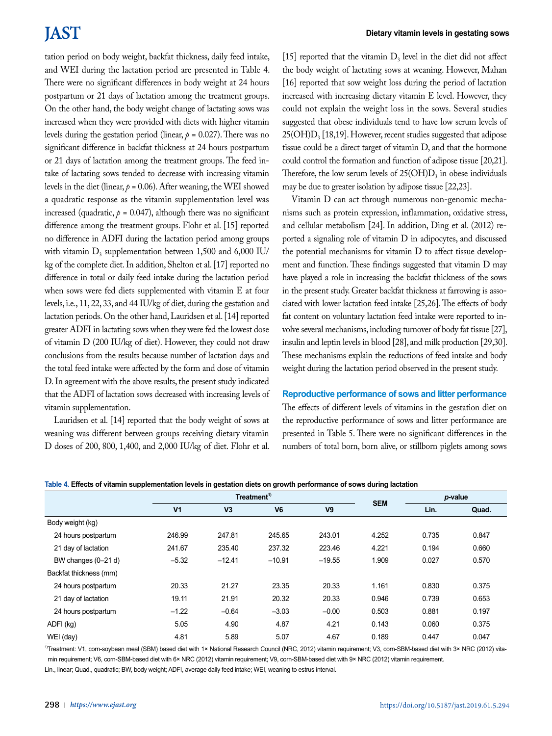# **JAST**

tation period on body weight, backfat thickness, daily feed intake, and WEI during the lactation period are presented in Table 4. There were no significant differences in body weight at 24 hours postpartum or 21 days of lactation among the treatment groups. On the other hand, the body weight change of lactating sows was increased when they were provided with diets with higher vitamin levels during the gestation period (linear,  $p = 0.027$ ). There was no significant difference in backfat thickness at 24 hours postpartum or 21 days of lactation among the treatment groups. The feed intake of lactating sows tended to decrease with increasing vitamin levels in the diet (linear,  $p = 0.06$ ). After weaning, the WEI showed a quadratic response as the vitamin supplementation level was increased (quadratic,  $p = 0.047$ ), although there was no significant difference among the treatment groups. Flohr et al. [15] reported no difference in ADFI during the lactation period among groups with vitamin  $D_3$  supplementation between 1,500 and 6,000 IU/ kg of the complete diet. In addition, Shelton et al. [17] reported no difference in total or daily feed intake during the lactation period when sows were fed diets supplemented with vitamin E at four levels, i.e., 11, 22, 33, and 44 IU/kg of diet, during the gestation and lactation periods. On the other hand, Lauridsen et al. [14] reported greater ADFI in lactating sows when they were fed the lowest dose of vitamin D (200 IU/kg of diet). However, they could not draw conclusions from the results because number of lactation days and the total feed intake were affected by the form and dose of vitamin D. In agreement with the above results, the present study indicated that the ADFI of lactation sows decreased with increasing levels of vitamin supplementation.

Lauridsen et al. [14] reported that the body weight of sows at weaning was different between groups receiving dietary vitamin D doses of 200, 800, 1,400, and 2,000 IU/kg of diet. Flohr et al. [15] reported that the vitamin  $D_3$  level in the diet did not affect the body weight of lactating sows at weaning. However, Mahan [16] reported that sow weight loss during the period of lactation increased with increasing dietary vitamin E level. However, they could not explain the weight loss in the sows. Several studies suggested that obese individuals tend to have low serum levels of  $25(OH)D<sub>3</sub>$  [18,19]. However, recent studies suggested that adipose tissue could be a direct target of vitamin D, and that the hormone could control the formation and function of adipose tissue [20,21]. Therefore, the low serum levels of  $25(OH)D<sub>3</sub>$  in obese individuals may be due to greater isolation by adipose tissue [22,23].

Vitamin D can act through numerous non-genomic mechanisms such as protein expression, inflammation, oxidative stress, and cellular metabolism [24]. In addition, Ding et al. (2012) reported a signaling role of vitamin D in adipocytes, and discussed the potential mechanisms for vitamin D to affect tissue development and function. These findings suggested that vitamin D may have played a role in increasing the backfat thickness of the sows in the present study. Greater backfat thickness at farrowing is associated with lower lactation feed intake [25,26]. The effects of body fat content on voluntary lactation feed intake were reported to involve several mechanisms, including turnover of body fat tissue [27], insulin and leptin levels in blood [28], and milk production [29,30]. These mechanisms explain the reductions of feed intake and body weight during the lactation period observed in the present study.

#### **Reproductive performance of sows and litter performance**

The effects of different levels of vitamins in the gestation diet on the reproductive performance of sows and litter performance are presented in Table 5. There were no significant differences in the numbers of total born, born alive, or stillborn piglets among sows

|                        |                | Treatment <sup>1)</sup> |                |                |            | p-value |       |
|------------------------|----------------|-------------------------|----------------|----------------|------------|---------|-------|
|                        | V <sub>1</sub> | V <sub>3</sub>          | V <sub>6</sub> | V <sub>9</sub> | <b>SEM</b> | Lin.    | Quad. |
| Body weight (kg)       |                |                         |                |                |            |         |       |
| 24 hours postpartum    | 246.99         | 247.81                  | 245.65         | 243.01         | 4.252      | 0.735   | 0.847 |
| 21 day of lactation    | 241.67         | 235.40                  | 237.32         | 223.46         | 4.221      | 0.194   | 0.660 |
| BW changes (0-21 d)    | $-5.32$        | $-12.41$                | $-10.91$       | $-19.55$       | 1.909      | 0.027   | 0.570 |
| Backfat thickness (mm) |                |                         |                |                |            |         |       |
| 24 hours postpartum    | 20.33          | 21.27                   | 23.35          | 20.33          | 1.161      | 0.830   | 0.375 |
| 21 day of lactation    | 19.11          | 21.91                   | 20.32          | 20.33          | 0.946      | 0.739   | 0.653 |
| 24 hours postpartum    | $-1.22$        | $-0.64$                 | $-3.03$        | $-0.00$        | 0.503      | 0.881   | 0.197 |
| ADFI (kg)              | 5.05           | 4.90                    | 4.87           | 4.21           | 0.143      | 0.060   | 0.375 |
| WEI (day)              | 4.81           | 5.89                    | 5.07           | 4.67           | 0.189      | 0.447   | 0.047 |

**Table 4. Effects of vitamin supplementation levels in gestation diets on growth performance of sows during lactation**

1)Treatment: V1, com-soybean meal (SBM) based diet with 1× National Research Council (NRC, 2012) vitamin requirement; V3, com-SBM-based diet with 3× NRC (2012) vitamin requirement; V6, corn-SBM-based diet with 6× NRC (2012) vitamin requirement; V9, corn-SBM-based diet with 9× NRC (2012) vitamin requirement.

Lin., linear; Quad., quadratic; BW, body weight; ADFI, average daily feed intake; WEI, weaning to estrus interval.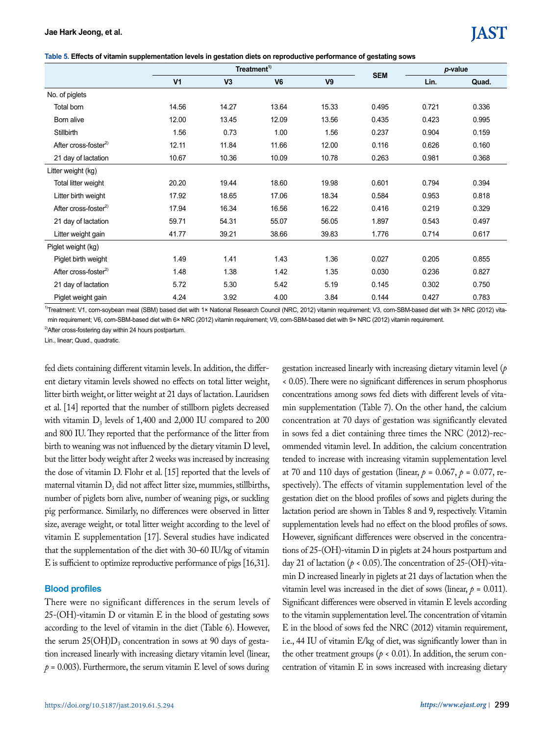|  | Table 5. Effects of vitamin supplementation levels in gestation diets on reproductive performance of gestating sows |  |  |  |  |
|--|---------------------------------------------------------------------------------------------------------------------|--|--|--|--|
|--|---------------------------------------------------------------------------------------------------------------------|--|--|--|--|

|                                  |                |                | Treatment <sup>1)</sup> |                |            | p-value |       |
|----------------------------------|----------------|----------------|-------------------------|----------------|------------|---------|-------|
|                                  | V <sub>1</sub> | V <sub>3</sub> | V <sub>6</sub>          | V <sub>9</sub> | <b>SEM</b> | Lin.    | Quad. |
| No. of piglets                   |                |                |                         |                |            |         |       |
| Total born                       | 14.56          | 14.27          | 13.64                   | 15.33          | 0.495      | 0.721   | 0.336 |
| Born alive                       | 12.00          | 13.45          | 12.09                   | 13.56          | 0.435      | 0.423   | 0.995 |
| Stillbirth                       | 1.56           | 0.73           | 1.00                    | 1.56           | 0.237      | 0.904   | 0.159 |
| After cross-foster <sup>2)</sup> | 12.11          | 11.84          | 11.66                   | 12.00          | 0.116      | 0.626   | 0.160 |
| 21 day of lactation              | 10.67          | 10.36          | 10.09                   | 10.78          | 0.263      | 0.981   | 0.368 |
| Litter weight (kg)               |                |                |                         |                |            |         |       |
| Total litter weight              | 20.20          | 19.44          | 18.60                   | 19.98          | 0.601      | 0.794   | 0.394 |
| Litter birth weight              | 17.92          | 18.65          | 17.06                   | 18.34          | 0.584      | 0.953   | 0.818 |
| After cross-foster $^{2)}$       | 17.94          | 16.34          | 16.56                   | 16.22          | 0.416      | 0.219   | 0.329 |
| 21 day of lactation              | 59.71          | 54.31          | 55.07                   | 56.05          | 1.897      | 0.543   | 0.497 |
| Litter weight gain               | 41.77          | 39.21          | 38.66                   | 39.83          | 1.776      | 0.714   | 0.617 |
| Piglet weight (kg)               |                |                |                         |                |            |         |       |
| Piglet birth weight              | 1.49           | 1.41           | 1.43                    | 1.36           | 0.027      | 0.205   | 0.855 |
| After cross-foster $^{2)}$       | 1.48           | 1.38           | 1.42                    | 1.35           | 0.030      | 0.236   | 0.827 |
| 21 day of lactation              | 5.72           | 5.30           | 5.42                    | 5.19           | 0.145      | 0.302   | 0.750 |
| Piglet weight gain               | 4.24           | 3.92           | 4.00                    | 3.84           | 0.144      | 0.427   | 0.783 |

1)Treatment: V1, corn-soybean meal (SBM) based diet with 1× National Research Council (NRC, 2012) vitamin requirement; V3, corn-SBM-based diet with 3× NRC (2012) vitamin requirement; V6, corn-SBM-based diet with 6× NRC (2012) vitamin requirement; V9, corn-SBM-based diet with 9× NRC (2012) vitamin requirement.

<sup>2)</sup>After cross-fostering day within 24 hours postpartum.

Lin., linear; Quad., quadratic.

fed diets containing different vitamin levels. In addition, the different dietary vitamin levels showed no effects on total litter weight, litter birth weight, or litter weight at 21 days of lactation. Lauridsen et al. [14] reported that the number of stillborn piglets decreased with vitamin  $D_3$  levels of 1,400 and 2,000 IU compared to 200 and 800 IU. They reported that the performance of the litter from birth to weaning was not influenced by the dietary vitamin D level, but the litter body weight after 2 weeks was increased by increasing the dose of vitamin D. Flohr et al. [15] reported that the levels of maternal vitamin  $D_3$  did not affect litter size, mummies, stillbirths, number of piglets born alive, number of weaning pigs, or suckling pig performance. Similarly, no differences were observed in litter size, average weight, or total litter weight according to the level of vitamin E supplementation [17]. Several studies have indicated that the supplementation of the diet with 30–60 IU/kg of vitamin E is sufficient to optimize reproductive performance of pigs [16,31].

#### **Blood profiles**

There were no significant differences in the serum levels of 25-(OH)-vitamin D or vitamin E in the blood of gestating sows according to the level of vitamin in the diet (Table 6). However, the serum  $25(OH)D_3$  concentration in sows at 90 days of gestation increased linearly with increasing dietary vitamin level (linear,  $p = 0.003$ ). Furthermore, the serum vitamin E level of sows during

gestation increased linearly with increasing dietary vitamin level (*p* < 0.05). There were no significant differences in serum phosphorus concentrations among sows fed diets with different levels of vitamin supplementation (Table 7). On the other hand, the calcium concentration at 70 days of gestation was significantly elevated in sows fed a diet containing three times the NRC (2012)-recommended vitamin level. In addition, the calcium concentration tended to increase with increasing vitamin supplementation level at 70 and 110 days of gestation (linear,  $p = 0.067$ ,  $p = 0.077$ , respectively). The effects of vitamin supplementation level of the gestation diet on the blood profiles of sows and piglets during the lactation period are shown in Tables 8 and 9, respectively. Vitamin supplementation levels had no effect on the blood profiles of sows. However, significant differences were observed in the concentrations of 25-(OH)-vitamin D in piglets at 24 hours postpartum and day 21 of lactation ( $p < 0.05$ ). The concentration of 25-(OH)-vitamin D increased linearly in piglets at 21 days of lactation when the vitamin level was increased in the diet of sows (linear,  $p = 0.011$ ). Significant differences were observed in vitamin E levels according to the vitamin supplementation level. The concentration of vitamin E in the blood of sows fed the NRC (2012) vitamin requirement, i.e., 44 IU of vitamin E/kg of diet, was significantly lower than in the other treatment groups ( $p < 0.01$ ). In addition, the serum concentration of vitamin E in sows increased with increasing dietary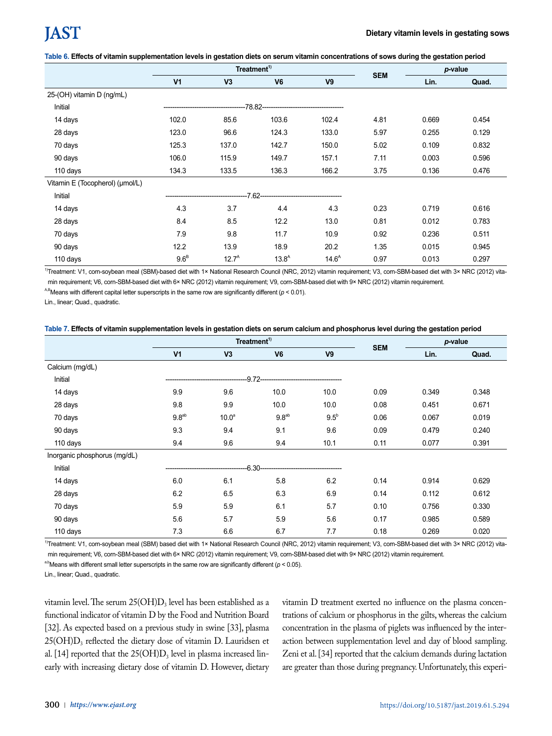#### **Table 6. Effects of vitamin supplementation levels in gestation diets on serum vitamin concentrations of sows during the gestation period**

|                                 |                | Treatment <sup>1)</sup> |                                  |                   |            |       | p-value |  |
|---------------------------------|----------------|-------------------------|----------------------------------|-------------------|------------|-------|---------|--|
|                                 | V <sub>1</sub> | V3                      | V <sub>6</sub>                   | V <sub>9</sub>    | <b>SEM</b> | Lin.  | Quad.   |  |
| 25-(OH) vitamin D (ng/mL)       |                |                         |                                  |                   |            |       |         |  |
| Initial                         |                |                         | -78.82-------------------------- |                   |            |       |         |  |
| 14 days                         | 102.0          | 85.6                    | 103.6                            | 102.4             | 4.81       | 0.669 | 0.454   |  |
| 28 days                         | 123.0          | 96.6                    | 124.3                            | 133.0             | 5.97       | 0.255 | 0.129   |  |
| 70 days                         | 125.3          | 137.0                   | 142.7                            | 150.0             | 5.02       | 0.109 | 0.832   |  |
| 90 days                         | 106.0          | 115.9                   | 149.7                            | 157.1             | 7.11       | 0.003 | 0.596   |  |
| 110 days                        | 134.3          | 133.5                   | 136.3                            | 166.2             | 3.75       | 0.136 | 0.476   |  |
| Vitamin E (Tocopherol) (umol/L) |                |                         |                                  |                   |            |       |         |  |
| Initial                         |                |                         | $7.62-$                          |                   |            |       |         |  |
| 14 days                         | 4.3            | 3.7                     | 4.4                              | 4.3               | 0.23       | 0.719 | 0.616   |  |
| 28 days                         | 8.4            | 8.5                     | 12.2                             | 13.0              | 0.81       | 0.012 | 0.783   |  |
| 70 days                         | 7.9            | 9.8                     | 11.7                             | 10.9              | 0.92       | 0.236 | 0.511   |  |
| 90 days                         | 12.2           | 13.9                    | 18.9                             | 20.2              | 1.35       | 0.015 | 0.945   |  |
| 110 days                        | $9.6^B$        | $12.7^A$                | $13.8^{A}$                       | 14.6 <sup>A</sup> | 0.97       | 0.013 | 0.297   |  |

1)Treatment: V1, corn-soybean meal (SBM)-based diet with 1× National Research Council (NRC, 2012) vitamin requirement; V3, corn-SBM-based diet with 3× NRC (2012) vitamin requirement; V6, corn-SBM-based diet with 6× NRC (2012) vitamin requirement; V9, corn-SBM-based diet with 9× NRC (2012) vitamin requirement.

<sup>A,B</sup>Means with different capital letter superscripts in the same row are significantly different ( $p < 0.01$ ).

Lin., linear; Quad., quadratic.

| Table 7. Effects of vitamin supplementation levels in gestation diets on serum calcium and phosphorus level during the gestation period |  |
|-----------------------------------------------------------------------------------------------------------------------------------------|--|
|-----------------------------------------------------------------------------------------------------------------------------------------|--|

|                              |                |                   | Treatment <sup>1)</sup> |                | <b>SEM</b> | p-value |       |
|------------------------------|----------------|-------------------|-------------------------|----------------|------------|---------|-------|
|                              | V <sub>1</sub> | V3                | V <sub>6</sub>          | V <sub>9</sub> |            | Lin.    | Quad. |
| Calcium (mg/dL)              |                |                   |                         |                |            |         |       |
| Initial                      |                |                   | $-9.72-$                |                |            |         |       |
| 14 days                      | 9.9            | 9.6               | 10.0                    | 10.0           | 0.09       | 0.349   | 0.348 |
| 28 days                      | 9.8            | 9.9               | 10.0                    | 10.0           | 0.08       | 0.451   | 0.671 |
| 70 days                      | $9.8^{ab}$     | 10.0 <sup>a</sup> | $9.8^{ab}$              | $9.5^{\circ}$  | 0.06       | 0.067   | 0.019 |
| 90 days                      | 9.3            | 9.4               | 9.1                     | 9.6            | 0.09       | 0.479   | 0.240 |
| 110 days                     | 9.4            | 9.6               | 9.4                     | 10.1           | 0.11       | 0.077   | 0.391 |
| Inorganic phosphorus (mg/dL) |                |                   |                         |                |            |         |       |
| Initial                      |                |                   | <u>  ና 30-</u>          |                |            |         |       |
| 14 days                      | 6.0            | 6.1               | 5.8                     | 6.2            | 0.14       | 0.914   | 0.629 |
| 28 days                      | 6.2            | 6.5               | 6.3                     | 6.9            | 0.14       | 0.112   | 0.612 |
| 70 days                      | 5.9            | 5.9               | 6.1                     | 5.7            | 0.10       | 0.756   | 0.330 |
| 90 days                      | 5.6            | 5.7               | 5.9                     | 5.6            | 0.17       | 0.985   | 0.589 |
| 110 days                     | 7.3            | 6.6               | 6.7                     | 7.7            | 0.18       | 0.269   | 0.020 |

1)Treatment: V1, corn-soybean meal (SBM) based diet with 1× National Research Council (NRC, 2012) vitamin requirement; V3, corn-SBM-based diet with 3× NRC (2012) vitamin requirement; V6, corn-SBM-based diet with 6× NRC (2012) vitamin requirement; V9, corn-SBM-based diet with 9× NRC (2012) vitamin requirement.

<sup>a,b</sup>Means with different small letter superscripts in the same row are significantly different ( $p < 0.05$ ).

Lin., linear; Quad., quadratic.

vitamin level. The serum  $25(OH)D_3$  level has been established as a functional indicator of vitamin D by the Food and Nutrition Board [32]. As expected based on a previous study in swine [33], plasma 25(OH)D3 reflected the dietary dose of vitamin D. Lauridsen et al. [14] reported that the  $25(OH)D_3$  level in plasma increased linearly with increasing dietary dose of vitamin D. However, dietary vitamin D treatment exerted no influence on the plasma concentrations of calcium or phosphorus in the gilts, whereas the calcium concentration in the plasma of piglets was influenced by the interaction between supplementation level and day of blood sampling. Zeni et al. [34] reported that the calcium demands during lactation are greater than those during pregnancy. Unfortunately, this experi-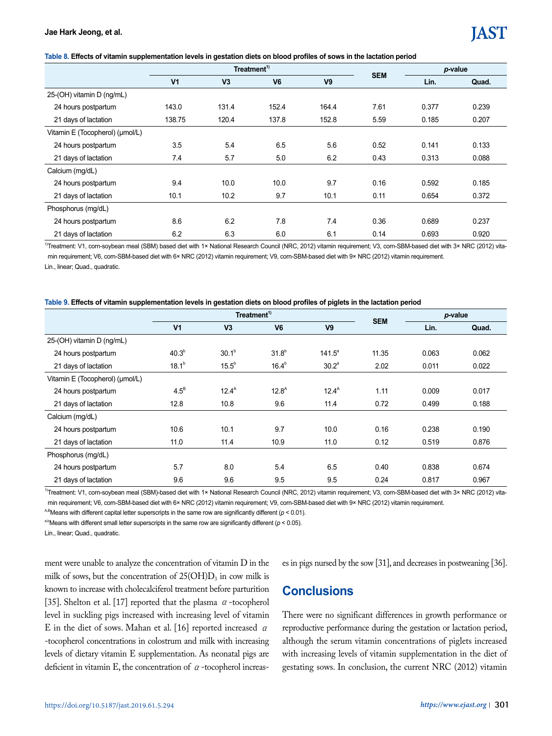# IAST

#### **Table 8. Effects of vitamin supplementation levels in gestation diets on blood profiles of sows in the lactation period**

|                                 |                |                | Treatment <sup>1)</sup> |                | <b>SEM</b> |       | p-value |  |
|---------------------------------|----------------|----------------|-------------------------|----------------|------------|-------|---------|--|
|                                 | V <sub>1</sub> | V <sub>3</sub> | V <sub>6</sub>          | V <sub>9</sub> |            | Lin.  | Quad.   |  |
| 25-(OH) vitamin D (ng/mL)       |                |                |                         |                |            |       |         |  |
| 24 hours postpartum             | 143.0          | 131.4          | 152.4                   | 164.4          | 7.61       | 0.377 | 0.239   |  |
| 21 days of lactation            | 138.75         | 120.4          | 137.8                   | 152.8          | 5.59       | 0.185 | 0.207   |  |
| Vitamin E (Tocopherol) (umol/L) |                |                |                         |                |            |       |         |  |
| 24 hours postpartum             | 3.5            | 5.4            | 6.5                     | 5.6            | 0.52       | 0.141 | 0.133   |  |
| 21 days of lactation            | 7.4            | 5.7            | 5.0                     | 6.2            | 0.43       | 0.313 | 0.088   |  |
| Calcium (mg/dL)                 |                |                |                         |                |            |       |         |  |
| 24 hours postpartum             | 9.4            | 10.0           | 10.0                    | 9.7            | 0.16       | 0.592 | 0.185   |  |
| 21 days of lactation            | 10.1           | 10.2           | 9.7                     | 10.1           | 0.11       | 0.654 | 0.372   |  |
| Phosphorus (mg/dL)              |                |                |                         |                |            |       |         |  |
| 24 hours postpartum             | 8.6            | 6.2            | 7.8                     | 7.4            | 0.36       | 0.689 | 0.237   |  |
| 21 days of lactation            | 6.2            | 6.3            | 6.0                     | 6.1            | 0.14       | 0.693 | 0.920   |  |

1)Treatment: V1, com-soybean meal (SBM) based diet with 1× National Research Council (NRC, 2012) vitamin requirement; V3, com-SBM-based diet with 3× NRC (2012) vitamin requirement; V6, corn-SBM-based diet with 6× NRC (2012) vitamin requirement; V9, corn-SBM-based diet with 9× NRC (2012) vitamin requirement.

Lin., linear; Quad., quadratic.

#### **Table 9. Effects of vitamin supplementation levels in gestation diets on blood profiles of piglets in the lactation period**

|                                 |                   |                   | Treatment <sup>1)</sup> |                   | <b>SEM</b> |       | p-value |  |
|---------------------------------|-------------------|-------------------|-------------------------|-------------------|------------|-------|---------|--|
|                                 | V <sub>1</sub>    | V <sub>3</sub>    | V <sub>6</sub>          | V <sub>9</sub>    |            | Lin.  | Quad.   |  |
| 25-(OH) vitamin D (ng/mL)       |                   |                   |                         |                   |            |       |         |  |
| 24 hours postpartum             | 40.3 <sup>b</sup> | 30.1 <sup>b</sup> | $31.8^{b}$              | $141.5^a$         | 11.35      | 0.063 | 0.062   |  |
| 21 days of lactation            | $18.1^{b}$        | $15.5^{\circ}$    | $16.4^b$                | 30.2 <sup>a</sup> | 2.02       | 0.011 | 0.022   |  |
| Vitamin E (Tocopherol) (µmol/L) |                   |                   |                         |                   |            |       |         |  |
| 24 hours postpartum             | $4.5^B$           | 12.4 <sup>A</sup> | $12.8^{A}$              | $12.4^{A}$        | 1.11       | 0.009 | 0.017   |  |
| 21 days of lactation            | 12.8              | 10.8              | 9.6                     | 11.4              | 0.72       | 0.499 | 0.188   |  |
| Calcium (mg/dL)                 |                   |                   |                         |                   |            |       |         |  |
| 24 hours postpartum             | 10.6              | 10.1              | 9.7                     | 10.0              | 0.16       | 0.238 | 0.190   |  |
| 21 days of lactation            | 11.0              | 11.4              | 10.9                    | 11.0              | 0.12       | 0.519 | 0.876   |  |
| Phosphorus (mg/dL)              |                   |                   |                         |                   |            |       |         |  |
| 24 hours postpartum             | 5.7               | 8.0               | 5.4                     | 6.5               | 0.40       | 0.838 | 0.674   |  |
| 21 days of lactation            | 9.6               | 9.6               | 9.5                     | 9.5               | 0.24       | 0.817 | 0.967   |  |

1)Treatment: V1, corn-soybean meal (SBM)-based diet with 1× National Research Council (NRC, 2012) vitamin requirement; V3, corn-SBM-based diet with 3× NRC (2012) vitamin requirement; V6, corn-SBM-based diet with 6× NRC (2012) vitamin requirement; V9, corn-SBM-based diet with 9× NRC (2012) vitamin requirement.

<sup>A,B</sup>Means with different capital letter superscripts in the same row are significantly different ( $p < 0.01$ ).

<sup>a,b</sup>Means with different small letter superscripts in the same row are significantly different ( $p < 0.05$ ).

Lin., linear; Quad., quadratic.

ment were unable to analyze the concentration of vitamin D in the milk of sows, but the concentration of  $25(OH)D_3$  in cow milk is known to increase with cholecalciferol treatment before parturition [35]. Shelton et al. [17] reported that the plasma  $\alpha$ -tocopherol level in suckling pigs increased with increasing level of vitamin E in the diet of sows. Mahan et al. [16] reported increased  $\alpha$ -tocopherol concentrations in colostrum and milk with increasing levels of dietary vitamin E supplementation. As neonatal pigs are deficient in vitamin E, the concentration of  $\alpha$ -tocopherol increases in pigs nursed by the sow [31], and decreases in postweaning [36].

# **Conclusions**

There were no significant differences in growth performance or reproductive performance during the gestation or lactation period, although the serum vitamin concentrations of piglets increased with increasing levels of vitamin supplementation in the diet of gestating sows. In conclusion, the current NRC (2012) vitamin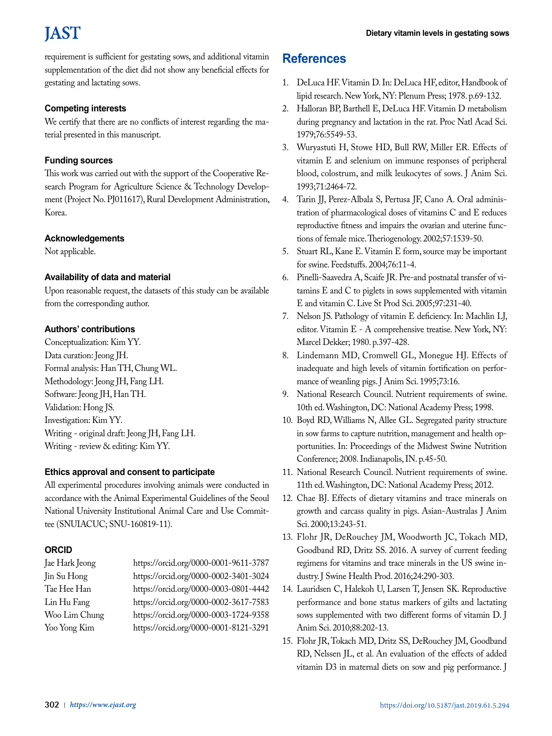#### **Dietary vitamin levels in gestating sows**

# **IAST**

requirement is sufficient for gestating sows, and additional vitamin supplementation of the diet did not show any beneficial effects for gestating and lactating sows.

### **Competing interests**

We certify that there are no conflicts of interest regarding the material presented in this manuscript.

# **Funding sources**

This work was carried out with the support of the Cooperative Research Program for Agriculture Science & Technology Development (Project No. PJ011617), Rural Development Administration, Korea.

## **Acknowledgements**

Not applicable.

## **Availability of data and material**

Upon reasonable request, the datasets of this study can be available from the corresponding author.

# **Authors' contributions**

Conceptualization: Kim YY. Data curation: Jeong JH. Formal analysis: Han TH, Chung WL. Methodology: Jeong JH, Fang LH. Software: Jeong JH, Han TH. Validation: Hong JS. Investigation: Kim YY. Writing - original draft: Jeong JH, Fang LH. Writing - review & editing: Kim YY.

### **Ethics approval and consent to participate**

All experimental procedures involving animals were conducted in accordance with the Animal Experimental Guidelines of the Seoul National University Institutional Animal Care and Use Committee (SNUIACUC; SNU-160819-11).

### **ORCID**

| Jae Hark Jeong | https://orcid.org/0000-0001-9611-3787 |
|----------------|---------------------------------------|
| Jin Su Hong    | https://orcid.org/0000-0002-3401-3024 |
| Tae Hee Han    | https://orcid.org/0000-0003-0801-4442 |
| Lin Hu Fang    | https://orcid.org/0000-0002-3617-7583 |
| Woo Lim Chung  | https://orcid.org/0000-0003-1724-9358 |
| Yoo Yong Kim   | https://orcid.org/0000-0001-8121-3291 |

# **References**

- 1. DeLuca HF. Vitamin D. In: DeLuca HF, editor, Handbook of lipid research. New York, NY: Plenum Press; 1978. p.69-132.
- 2. Halloran BP, Barthell E, DeLuca HF. Vitamin D metabolism during pregnancy and lactation in the rat. Proc Natl Acad Sci. 1979;76:5549-53.
- 3. Wuryastuti H, Stowe HD, Bull RW, Miller ER. Effects of vitamin E and selenium on immune responses of peripheral blood, colostrum, and milk leukocytes of sows. J Anim Sci. 1993;71:2464-72.
- 4. Tarin JJ, Perez-Albala S, Pertusa JF, Cano A. Oral administration of pharmacological doses of vitamins C and E reduces reproductive fitness and impairs the ovarian and uterine functions of female mice. Theriogenology. 2002;57:1539-50.
- 5. Stuart RL, Kane E. Vitamin E form, source may be important for swine. Feedstuffs. 2004;76:11-4.
- 6. Pinelli-Saavedra A, Scaife JR. Pre-and postnatal transfer of vitamins E and C to piglets in sows supplemented with vitamin E and vitamin C. Live St Prod Sci. 2005;97:231-40.
- 7. Nelson JS. Pathology of vitamin E deficiency. In: Machlin LJ, editor. Vitamin E - A comprehensive treatise. New York, NY: Marcel Dekker; 1980. p.397-428.
- 8. Lindemann MD, Cromwell GL, Monegue HJ. Effects of inadequate and high levels of vitamin fortification on performance of weanling pigs. J Anim Sci. 1995;73:16.
- 9. National Research Council. Nutrient requirements of swine. 10th ed. Washington, DC: National Academy Press; 1998.
- 10. Boyd RD, Williams N, Allee GL. Segregated parity structure in sow farms to capture nutrition, management and health opportunities. In: Proceedings of the Midwest Swine Nutrition Conference; 2008. Indianapolis, IN. p.45-50.
- 11. National Research Council. Nutrient requirements of swine. 11th ed. Washington, DC: National Academy Press; 2012.
- 12. Chae BJ. Effects of dietary vitamins and trace minerals on growth and carcass quality in pigs. Asian-Australas J Anim Sci. 2000;13:243-51.
- 13. Flohr JR, DeRouchey JM, Woodworth JC, Tokach MD, Goodband RD, Dritz SS. 2016. A survey of current feeding regimens for vitamins and trace minerals in the US swine industry. J Swine Health Prod. 2016;24:290-303.
- 14. Lauridsen C, Halekoh U, Larsen T, Jensen SK. Reproductive performance and bone status markers of gilts and lactating sows supplemented with two different forms of vitamin D. J Anim Sci. 2010;88:202-13.
- 15. Flohr JR, Tokach MD, Dritz SS, DeRouchey JM, Goodband RD, Nelssen JL, et al. An evaluation of the effects of added vitamin D3 in maternal diets on sow and pig performance. J